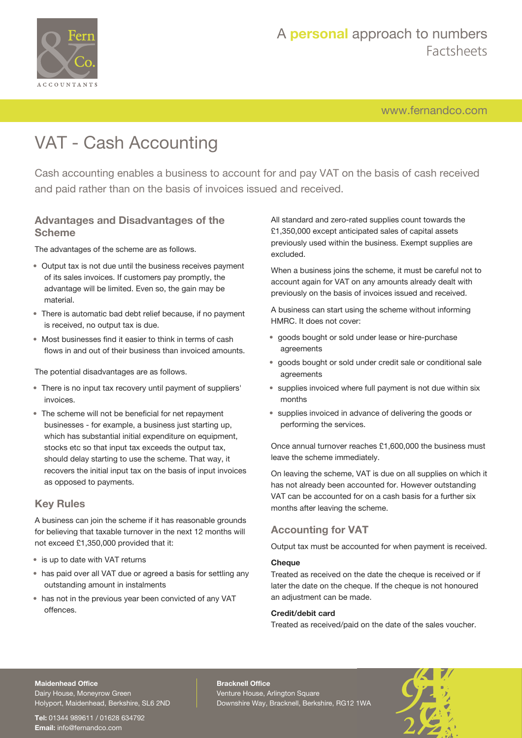

# A **personal** approach to numbers Factsheets

[www.fernandco.com](http://www.fernandco.com)

# VAT - Cash Accounting

Cash accounting enables a business to account for and pay VAT on the basis of cash received and paid rather than on the basis of invoices issued and received.

## **Advantages and Disadvantages of the Scheme**

The advantages of the scheme are as follows.

- Output tax is not due until the business receives payment of its sales invoices. If customers pay promptly, the advantage will be limited. Even so, the gain may be material.
- There is automatic bad debt relief because, if no payment is received, no output tax is due.
- Most businesses find it easier to think in terms of cash flows in and out of their business than invoiced amounts.

The potential disadvantages are as follows.

- There is no input tax recovery until payment of suppliers' invoices.
- The scheme will not be beneficial for net repayment businesses - for example, a business just starting up, which has substantial initial expenditure on equipment, stocks etc so that input tax exceeds the output tax, should delay starting to use the scheme. That way, it recovers the initial input tax on the basis of input invoices as opposed to payments.

# **Key Rules**

A business can join the scheme if it has reasonable grounds for believing that taxable turnover in the next 12 months will not exceed £1,350,000 provided that it:

- is up to date with VAT returns
- has paid over all VAT due or agreed a basis for settling any outstanding amount in instalments
- has not in the previous year been convicted of any VAT offences.

All standard and zero-rated supplies count towards the £1,350,000 except anticipated sales of capital assets previously used within the business. Exempt supplies are excluded.

When a business joins the scheme, it must be careful not to account again for VAT on any amounts already dealt with previously on the basis of invoices issued and received.

A business can start using the scheme without informing HMRC. It does not cover:

- goods bought or sold under lease or hire-purchase agreements
- goods bought or sold under credit sale or conditional sale agreements
- supplies invoiced where full payment is not due within six months
- supplies invoiced in advance of delivering the goods or performing the services.

Once annual turnover reaches £1,600,000 the business must leave the scheme immediately.

On leaving the scheme, VAT is due on all supplies on which it has not already been accounted for. However outstanding VAT can be accounted for on a cash basis for a further six months after leaving the scheme.

# **Accounting for VAT**

Output tax must be accounted for when payment is received.

### **Cheque**

Treated as received on the date the cheque is received or if later the date on the cheque. If the cheque is not honoured an adjustment can be made.

### **Credit/debit card**

Treated as received/paid on the date of the sales voucher.

# **Maidenhead Office**

Dairy House, Moneyrow Green Holyport, Maidenhead, Berkshire, SL6 2ND

**Tel:** 01344 989611 / 01628 634792 **Email:** [info@fernandco.com](mailto:info@fernandco.com)

**Bracknell Office** Venture House, Arlington Square Downshire Way, Bracknell, Berkshire, RG12 1WA